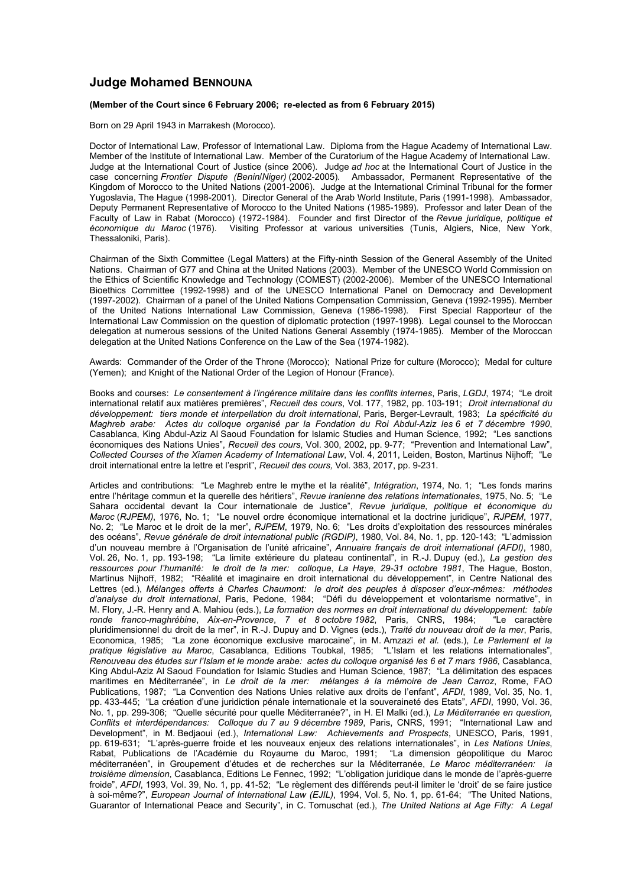## **Judge Mohamed BENNOUNA**

## **(Member of the Court since 6 February 2006; re-elected as from 6 February 2015)**

Born on 29 April 1943 in Marrakesh (Morocco).

Doctor of International Law, Professor of International Law. Diploma from the Hague Academy of International Law. Member of the Institute of International Law. Member of the Curatorium of the Hague Academy of International Law. Judge at the International Court of Justice (since 2006). Judge *ad hoc* at the International Court of Justice in the case concerning *Frontier Dispute (Benin*/*Niger)* (2002-2005). Ambassador, Permanent Representative of the Kingdom of Morocco to the United Nations (2001-2006). Judge at the International Criminal Tribunal for the former Yugoslavia, The Hague (1998-2001). Director General of the Arab World Institute, Paris (1991-1998). Ambassador, Deputy Permanent Representative of Morocco to the United Nations (1985-1989). Professor and later Dean of the Faculty of Law in Rabat (Morocco) (1972-1984). Founder and first Director of the *Revue juridique, politique et économique du Maroc* (1976). Visiting Professor at various universities (Tunis, Algiers, Nice, New York, Thessaloniki, Paris).

Chairman of the Sixth Committee (Legal Matters) at the Fifty-ninth Session of the General Assembly of the United Nations. Chairman of G77 and China at the United Nations (2003). Member of the UNESCO World Commission on the Ethics of Scientific Knowledge and Technology (COMEST) (2002-2006). Member of the UNESCO International Bioethics Committee (1992-1998) and of the UNESCO International Panel on Democracy and Development (1997-2002). Chairman of a panel of the United Nations Compensation Commission, Geneva (1992-1995). Member of the United Nations International Law Commission, Geneva (1986-1998). First Special Rapporteur of the International Law Commission on the question of diplomatic protection (1997-1998). Legal counsel to the Moroccan delegation at numerous sessions of the United Nations General Assembly (1974-1985). Member of the Moroccan delegation at the United Nations Conference on the Law of the Sea (1974-1982).

Awards: Commander of the Order of the Throne (Morocco); National Prize for culture (Morocco); Medal for culture (Yemen); and Knight of the National Order of the Legion of Honour (France).

Books and courses: *Le consentement à l'ingérence militaire dans les conflits internes*, Paris, *LGDJ*, 1974; "Le droit international relatif aux matières premières", *Recueil des cours*, Vol. 177, 1982, pp. 103-191; *Droit international du développement: tiers monde et interpellation du droit international*, Paris, Berger-Levrault, 1983; *La spécificité du Maghreb arabe: Actes du colloque organisé par la Fondation du Roi Abdul-Aziz les 6 et 7 décembre 1990*, Casablanca, King Abdul-Aziz Al Saoud Foundation for Islamic Studies and Human Science, 1992; "Les sanctions économiques des Nations Unies", *Recueil des cours*, Vol. 300, 2002, pp. 9-77; "Prevention and International Law", *Collected Courses of the Xiamen Academy of International Law*, Vol. 4, 2011, Leiden, Boston, Martinus Nijhoff; "Le droit international entre la lettre et l'esprit", *Recueil des cours,* Vol. 383, 2017, pp. 9-231.

Articles and contributions: "Le Maghreb entre le mythe et la réalité", *Intégration*, 1974, No. 1; "Les fonds marins entre l'héritage commun et la querelle des héritiers", *Revue iranienne des relations internationales*, 1975, No. 5; "Le Sahara occidental devant la Cour internationale de Justice", *Revue juridique, politique et économique du Maroc* (*RJPEM)*, 1976, No. 1; "Le nouvel ordre économique international et la doctrine juridique", *RJPEM*, 1977, No. 2; "Le Maroc et le droit de la mer", *RJPEM*, 1979, No. 6; "Les droits d'exploitation des ressources minérales des océans", *Revue générale de droit international public (RGDIP)*, 1980, Vol. 84, No. 1, pp. 120-143; "L'admission d'un nouveau membre à l'Organisation de l'unité africaine", *Annuaire français de droit international (AFDI)*, 1980, Vol. 26, No. 1, pp. 193-198; "La limite extérieure du plateau continental", in R.-J. Dupuy (ed.), *La gestion des ressources pour l'humanité: le droit de la mer: colloque*, *La Haye*, *29-31 octobre 1981*, The Hague, Boston, Martinus Nijhoff, 1982; "Réalité et imaginaire en droit international du développement", in Centre National des Lettres (ed.), *Mélanges offerts à Charles Chaumont: le droit des peuples à disposer d'eux-mêmes: méthodes d'analyse du droit international*, Paris, Pedone, 1984; "Défi du développement et volontarisme normative", in M. Flory, J.-R. Henry and A. Mahiou (eds.), *La formation des normes en droit international du développement: table ronde franco-maghrébine*, *Aix-en-Provence*, *7 et 8 octobre 1982*, Paris, CNRS, 1984; "Le caractère pluridimensionnel du droit de la mer", in R.-J. Dupuy and D. Vignes (eds.), *Traité du nouveau droit de la mer*, Paris, Economica, 1985; "La zone économique exclusive marocaine", in M. Amzazi *et al.* (eds.), *Le Parlement et la pratique législative au Maroc*, Casablanca, Editions Toubkal, 1985; "L'Islam et les relations internationales", *Renouveau des études sur l'Islam et le monde arabe: actes du colloque organisé les 6 et 7 mars 1986*, Casablanca, King Abdul-Aziz Al Saoud Foundation for Islamic Studies and Human Science, 1987; "La délimitation des espaces maritimes en Méditerranée", in *Le droit de la mer: mélanges à la mémoire de Jean Carroz*, Rome, FAO Publications, 1987; "La Convention des Nations Unies relative aux droits de l'enfant", *AFDI*, 1989, Vol. 35, No. 1, pp. 433-445; "La création d'une juridiction pénale internationale et la souveraineté des Etats", *AFDI*, 1990, Vol. 36, No. 1, pp. 299-306; "Quelle sécurité pour quelle Méditerranée?", in H. El Malki (ed.), *La Méditerranée en question, Conflits et interdépendances: Colloque du 7 au 9 décembre 1989*, Paris, CNRS, 1991; "International Law and Development", in M. Bedjaoui (ed.), *International Law: Achievements and Prospects*, UNESCO, Paris, 1991, pp. 619-631; "L'après-guerre froide et les nouveaux enjeux des relations internationales", in *Les Nations Unies*, Rabat, Publications de l'Académie du Royaume du Maroc, 1991; "La dimension géopolitique du Maroc méditerranéen", in Groupement d'études et de recherches sur la Méditerranée, *Le Maroc méditerranéen: la troisième dimension*, Casablanca, Editions Le Fennec, 1992; "L'obligation juridique dans le monde de l'après-guerre froide", *AFDI*, 1993, Vol. 39, No. 1, pp. 41-52; "Le règlement des différends peut-il limiter le 'droit' de se faire justice à soi-même?", *European Journal of International Law (EJIL)*, 1994, Vol. 5, No. 1, pp. 61-64; "The United Nations, Guarantor of International Peace and Security", in C. Tomuschat (ed.), *The United Nations at Age Fifty: A Legal*